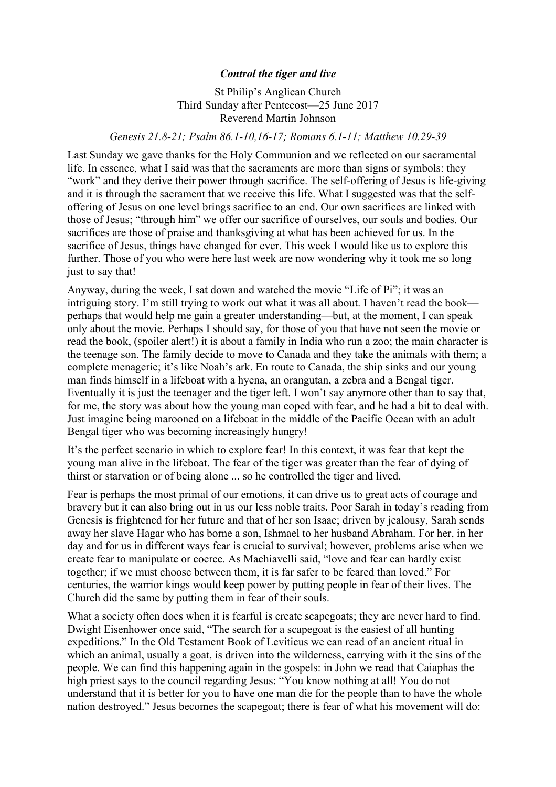## *Control the tiger and live*

St Philip's Anglican Church Third Sunday after Pentecost—25 June 2017 Reverend Martin Johnson

## *Genesis 21.8-21; Psalm 86.1-10,16-17; Romans 6.1-11; Matthew 10.29-39*

Last Sunday we gave thanks for the Holy Communion and we reflected on our sacramental life. In essence, what I said was that the sacraments are more than signs or symbols: they "work" and they derive their power through sacrifice. The self-offering of Jesus is life-giving and it is through the sacrament that we receive this life. What I suggested was that the selfoffering of Jesus on one level brings sacrifice to an end. Our own sacrifices are linked with those of Jesus; "through him" we offer our sacrifice of ourselves, our souls and bodies. Our sacrifices are those of praise and thanksgiving at what has been achieved for us. In the sacrifice of Jesus, things have changed for ever. This week I would like us to explore this further. Those of you who were here last week are now wondering why it took me so long just to say that!

Anyway, during the week, I sat down and watched the movie "Life of Pi"; it was an intriguing story. I'm still trying to work out what it was all about. I haven't read the book perhaps that would help me gain a greater understanding—but, at the moment, I can speak only about the movie. Perhaps I should say, for those of you that have not seen the movie or read the book, (spoiler alert!) it is about a family in India who run a zoo; the main character is the teenage son. The family decide to move to Canada and they take the animals with them; a complete menagerie; it's like Noah's ark. En route to Canada, the ship sinks and our young man finds himself in a lifeboat with a hyena, an orangutan, a zebra and a Bengal tiger. Eventually it is just the teenager and the tiger left. I won't say anymore other than to say that, for me, the story was about how the young man coped with fear, and he had a bit to deal with. Just imagine being marooned on a lifeboat in the middle of the Pacific Ocean with an adult Bengal tiger who was becoming increasingly hungry!

It's the perfect scenario in which to explore fear! In this context, it was fear that kept the young man alive in the lifeboat. The fear of the tiger was greater than the fear of dying of thirst or starvation or of being alone ... so he controlled the tiger and lived.

Fear is perhaps the most primal of our emotions, it can drive us to great acts of courage and bravery but it can also bring out in us our less noble traits. Poor Sarah in today's reading from Genesis is frightened for her future and that of her son Isaac; driven by jealousy, Sarah sends away her slave Hagar who has borne a son, Ishmael to her husband Abraham. For her, in her day and for us in different ways fear is crucial to survival; however, problems arise when we create fear to manipulate or coerce. As Machiavelli said, "love and fear can hardly exist together; if we must choose between them, it is far safer to be feared than loved." For centuries, the warrior kings would keep power by putting people in fear of their lives. The Church did the same by putting them in fear of their souls.

What a society often does when it is fearful is create scapegoats; they are never hard to find. Dwight Eisenhower once said, "The search for a scapegoat is the easiest of all hunting expeditions." In the Old Testament Book of Leviticus we can read of an ancient ritual in which an animal, usually a goat, is driven into the wilderness, carrying with it the sins of the people. We can find this happening again in the gospels: in John we read that Caiaphas the high priest says to the council regarding Jesus: "You know nothing at all! You do not understand that it is better for you to have one man die for the people than to have the whole nation destroyed." Jesus becomes the scapegoat; there is fear of what his movement will do: